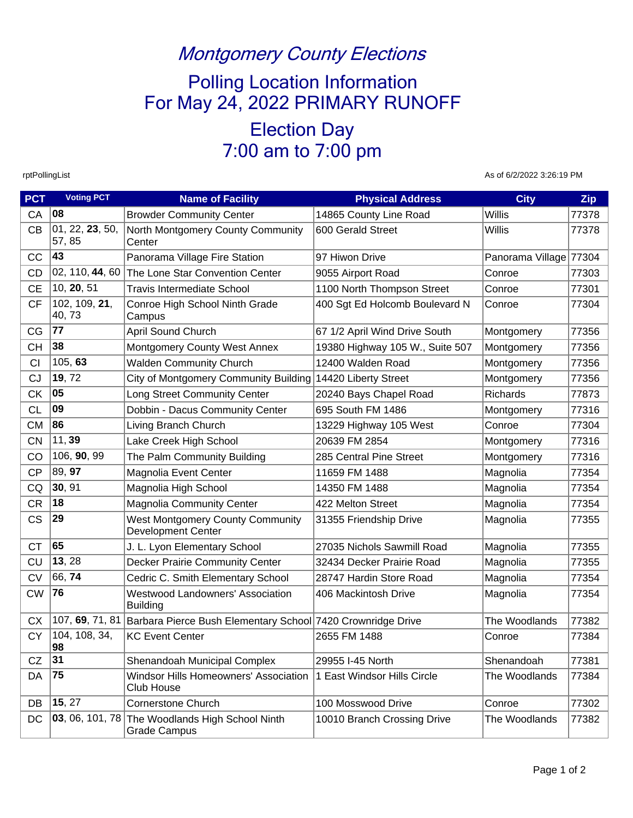## Montgomery County Elections

## Polling Location Information For May 24, 2022 PRIMARY RUNOFF

Election Day 7:00 am to 7:00 pm

rptPollingList As of 6/2/2022 3:26:19 PM

| <b>PCT</b> | <b>Voting PCT</b>                       | <b>Name of Facility</b>                                                     | <b>Physical Address</b>         | <b>City</b>            | Zip   |
|------------|-----------------------------------------|-----------------------------------------------------------------------------|---------------------------------|------------------------|-------|
| CA         | 08                                      | <b>Browder Community Center</b>                                             | 14865 County Line Road          | Willis                 | 77378 |
| CB         | $\overline{0}$ 1, 22, 23, 50,<br>57, 85 | North Montgomery County Community<br>Center                                 | 600 Gerald Street               | Willis                 | 77378 |
| CC         | 43                                      | Panorama Village Fire Station                                               | 97 Hiwon Drive                  | Panorama Village 77304 |       |
| CD         | 02, 110, 44, 60                         | The Lone Star Convention Center                                             | 9055 Airport Road               | Conroe                 | 77303 |
| <b>CE</b>  | 10, 20, 51                              | <b>Travis Intermediate School</b>                                           | 1100 North Thompson Street      | Conroe                 | 77301 |
| <b>CF</b>  | 102, 109, 21,<br>40,73                  | Conroe High School Ninth Grade<br>Campus                                    | 400 Sgt Ed Holcomb Boulevard N  | Conroe                 | 77304 |
| CG         | 77                                      | April Sound Church                                                          | 67 1/2 April Wind Drive South   | Montgomery             | 77356 |
| <b>CH</b>  | 38                                      | Montgomery County West Annex                                                | 19380 Highway 105 W., Suite 507 | Montgomery             | 77356 |
| CI         | 105, 63                                 | <b>Walden Community Church</b>                                              | 12400 Walden Road               | Montgomery             | 77356 |
| CJ         | 19, 72                                  | City of Montgomery Community Building 14420 Liberty Street                  |                                 | Montgomery             | 77356 |
| <b>CK</b>  | 05                                      | Long Street Community Center                                                | 20240 Bays Chapel Road          | Richards               | 77873 |
| <b>CL</b>  | 09                                      | Dobbin - Dacus Community Center                                             | 695 South FM 1486               | Montgomery             | 77316 |
| <b>CM</b>  | 86                                      | Living Branch Church                                                        | 13229 Highway 105 West          | Conroe                 | 77304 |
| <b>CN</b>  | 11,39                                   | Lake Creek High School                                                      | 20639 FM 2854                   | Montgomery             | 77316 |
| CO         | 106, 90, 99                             | The Palm Community Building                                                 | 285 Central Pine Street         | Montgomery             | 77316 |
| <b>CP</b>  | 89, 97                                  | Magnolia Event Center                                                       | 11659 FM 1488                   | Magnolia               | 77354 |
| CQ         | 30, 91                                  | Magnolia High School                                                        | 14350 FM 1488                   | Magnolia               | 77354 |
| <b>CR</b>  | 18                                      | <b>Magnolia Community Center</b>                                            | 422 Melton Street               | Magnolia               | 77354 |
| <b>CS</b>  | 29                                      | <b>West Montgomery County Community</b><br><b>Development Center</b>        | 31355 Friendship Drive          | Magnolia               | 77355 |
| <b>CT</b>  | 65                                      | J. L. Lyon Elementary School                                                | 27035 Nichols Sawmill Road      | Magnolia               | 77355 |
| CU         | 13, 28                                  | Decker Prairie Community Center                                             | 32434 Decker Prairie Road       | Magnolia               | 77355 |
| <b>CV</b>  | 66,74                                   | Cedric C. Smith Elementary School                                           | 28747 Hardin Store Road         | Magnolia               | 77354 |
| <b>CW</b>  | 76                                      | <b>Westwood Landowners' Association</b><br><b>Building</b>                  | 406 Mackintosh Drive            | Magnolia               | 77354 |
| <b>CX</b>  |                                         | 107, 69, 71, 81 Barbara Pierce Bush Elementary School 7420 Crownridge Drive |                                 | The Woodlands          | 77382 |
| <b>CY</b>  | 104, 108, 34,<br>98                     | <b>KC Event Center</b>                                                      | 2655 FM 1488                    | Conroe                 | 77384 |
| CZ         | 31                                      | Shenandoah Municipal Complex                                                | 29955 I-45 North                | Shenandoah             | 77381 |
| DA         | 75                                      | Windsor Hills Homeowners' Association<br><b>Club House</b>                  | 1 East Windsor Hills Circle     | The Woodlands          | 77384 |
| DB         | 15, 27                                  | <b>Cornerstone Church</b>                                                   | 100 Mosswood Drive              | Conroe                 | 77302 |
| DC         | 03, 06, 101, 78                         | The Woodlands High School Ninth<br><b>Grade Campus</b>                      | 10010 Branch Crossing Drive     | The Woodlands          | 77382 |